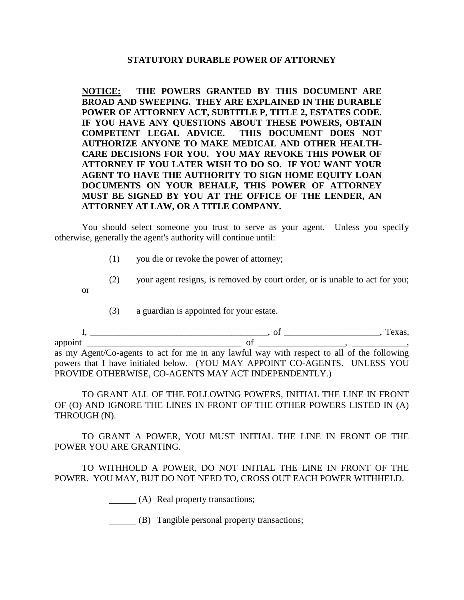## **STATUTORY DURABLE POWER OF ATTORNEY**

**NOTICE: THE POWERS GRANTED BY THIS DOCUMENT ARE BROAD AND SWEEPING. THEY ARE EXPLAINED IN THE DURABLE POWER OF ATTORNEY ACT, SUBTITLE P, TITLE 2, ESTATES CODE. IF YOU HAVE ANY QUESTIONS ABOUT THESE POWERS, OBTAIN COMPETENT LEGAL ADVICE. THIS DOCUMENT DOES NOT AUTHORIZE ANYONE TO MAKE MEDICAL AND OTHER HEALTH-CARE DECISIONS FOR YOU. YOU MAY REVOKE THIS POWER OF ATTORNEY IF YOU LATER WISH TO DO SO. IF YOU WANT YOUR AGENT TO HAVE THE AUTHORITY TO SIGN HOME EQUITY LOAN DOCUMENTS ON YOUR BEHALF, THIS POWER OF ATTORNEY MUST BE SIGNED BY YOU AT THE OFFICE OF THE LENDER, AN ATTORNEY AT LAW, OR A TITLE COMPANY.**

You should select someone you trust to serve as your agent. Unless you specify otherwise, generally the agent's authority will continue until:

- (1) you die or revoke the power of attorney;
- (2) your agent resigns, is removed by court order, or is unable to act for you; or
	- (3) a guardian is appointed for your estate.

I, \_\_\_\_\_\_\_\_\_\_\_\_\_\_\_\_\_\_\_\_\_\_\_\_\_\_\_\_\_\_\_\_\_\_\_\_\_\_\_, of \_\_\_\_\_\_\_\_\_\_\_\_\_\_\_\_\_\_\_\_\_, Texas, appoint \_\_\_\_\_\_\_\_\_\_\_\_\_\_\_\_\_\_\_\_\_\_\_\_\_\_\_\_\_\_\_\_\_\_ of \_\_\_\_\_\_\_\_\_\_\_\_\_\_\_\_\_\_\_, \_\_\_\_\_\_\_\_\_\_\_\_, as my Agent/Co-agents to act for me in any lawful way with respect to all of the following powers that I have initialed below. (YOU MAY APPOINT CO-AGENTS. UNLESS YOU

PROVIDE OTHERWISE, CO-AGENTS MAY ACT INDEPENDENTLY.) TO GRANT ALL OF THE FOLLOWING POWERS, INITIAL THE LINE IN FRONT OF (O) AND IGNORE THE LINES IN FRONT OF THE OTHER POWERS LISTED IN (A)

TO GRANT A POWER, YOU MUST INITIAL THE LINE IN FRONT OF THE POWER YOU ARE GRANTING.

TO WITHHOLD A POWER, DO NOT INITIAL THE LINE IN FRONT OF THE POWER. YOU MAY, BUT DO NOT NEED TO, CROSS OUT EACH POWER WITHHELD.

(A) Real property transactions;

THROUGH (N).

(B) Tangible personal property transactions;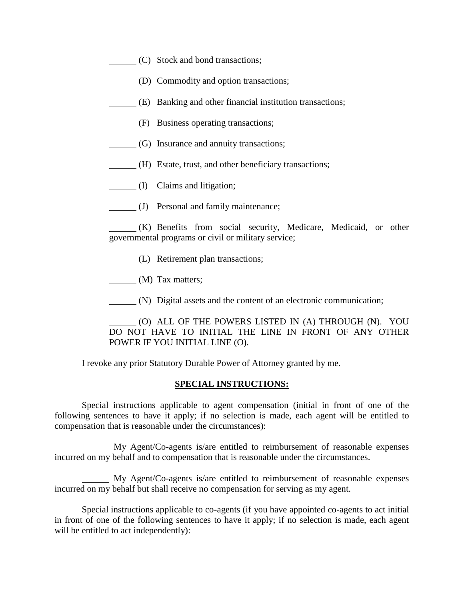- (C) Stock and bond transactions;
- (D) Commodity and option transactions;
- (E) Banking and other financial institution transactions;
- (F) Business operating transactions;
- (G) Insurance and annuity transactions;
- (H) Estate, trust, and other beneficiary transactions;
- (I) Claims and litigation;
- (J) Personal and family maintenance;

(K) Benefits from social security, Medicare, Medicaid, or other governmental programs or civil or military service;

(L) Retirement plan transactions;

(M) Tax matters;

(N) Digital assets and the content of an electronic communication;

(O) ALL OF THE POWERS LISTED IN (A) THROUGH (N). YOU DO NOT HAVE TO INITIAL THE LINE IN FRONT OF ANY OTHER POWER IF YOU INITIAL LINE (O).

I revoke any prior Statutory Durable Power of Attorney granted by me.

## **SPECIAL INSTRUCTIONS:**

Special instructions applicable to agent compensation (initial in front of one of the following sentences to have it apply; if no selection is made, each agent will be entitled to compensation that is reasonable under the circumstances):

 My Agent/Co-agents is/are entitled to reimbursement of reasonable expenses incurred on my behalf and to compensation that is reasonable under the circumstances.

 My Agent/Co-agents is/are entitled to reimbursement of reasonable expenses incurred on my behalf but shall receive no compensation for serving as my agent.

Special instructions applicable to co-agents (if you have appointed co-agents to act initial in front of one of the following sentences to have it apply; if no selection is made, each agent will be entitled to act independently):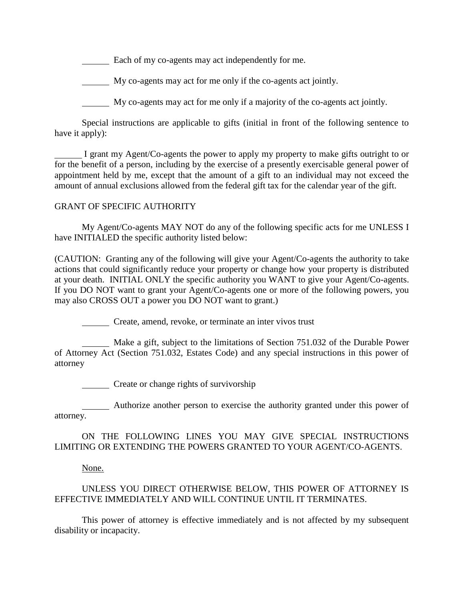**Each of my co-agents may act independently for me.** 

My co-agents may act for me only if the co-agents act jointly.

My co-agents may act for me only if a majority of the co-agents act jointly.

Special instructions are applicable to gifts (initial in front of the following sentence to have it apply):

I grant my Agent/Co-agents the power to apply my property to make gifts outright to or for the benefit of a person, including by the exercise of a presently exercisable general power of appointment held by me, except that the amount of a gift to an individual may not exceed the amount of annual exclusions allowed from the federal gift tax for the calendar year of the gift.

## GRANT OF SPECIFIC AUTHORITY

My Agent/Co-agents MAY NOT do any of the following specific acts for me UNLESS I have INITIALED the specific authority listed below:

(CAUTION: Granting any of the following will give your Agent/Co-agents the authority to take actions that could significantly reduce your property or change how your property is distributed at your death. INITIAL ONLY the specific authority you WANT to give your Agent/Co-agents. If you DO NOT want to grant your Agent/Co-agents one or more of the following powers, you may also CROSS OUT a power you DO NOT want to grant.)

Create, amend, revoke, or terminate an inter vivos trust

 Make a gift, subject to the limitations of Section 751.032 of the Durable Power of Attorney Act (Section 751.032, Estates Code) and any special instructions in this power of attorney

Create or change rights of survivorship

 Authorize another person to exercise the authority granted under this power of attorney.

ON THE FOLLOWING LINES YOU MAY GIVE SPECIAL INSTRUCTIONS LIMITING OR EXTENDING THE POWERS GRANTED TO YOUR AGENT/CO-AGENTS.

None.

# UNLESS YOU DIRECT OTHERWISE BELOW, THIS POWER OF ATTORNEY IS EFFECTIVE IMMEDIATELY AND WILL CONTINUE UNTIL IT TERMINATES.

This power of attorney is effective immediately and is not affected by my subsequent disability or incapacity.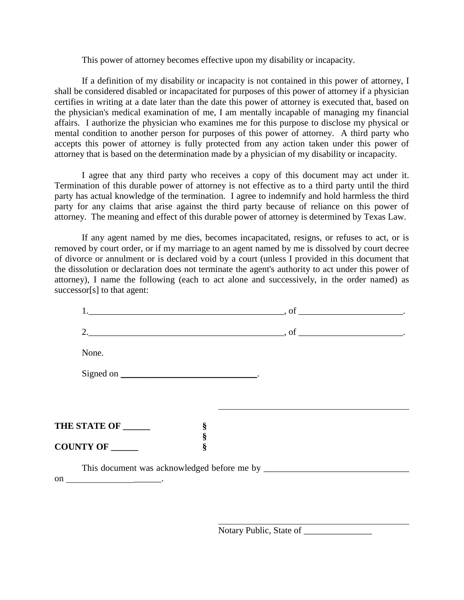This power of attorney becomes effective upon my disability or incapacity.

If a definition of my disability or incapacity is not contained in this power of attorney, I shall be considered disabled or incapacitated for purposes of this power of attorney if a physician certifies in writing at a date later than the date this power of attorney is executed that, based on the physician's medical examination of me, I am mentally incapable of managing my financial affairs. I authorize the physician who examines me for this purpose to disclose my physical or mental condition to another person for purposes of this power of attorney. A third party who accepts this power of attorney is fully protected from any action taken under this power of attorney that is based on the determination made by a physician of my disability or incapacity.

I agree that any third party who receives a copy of this document may act under it. Termination of this durable power of attorney is not effective as to a third party until the third party has actual knowledge of the termination. I agree to indemnify and hold harmless the third party for any claims that arise against the third party because of reliance on this power of attorney. The meaning and effect of this durable power of attorney is determined by Texas Law.

If any agent named by me dies, becomes incapacitated, resigns, or refuses to act, or is removed by court order, or if my marriage to an agent named by me is dissolved by court decree of divorce or annulment or is declared void by a court (unless I provided in this document that the dissolution or declaration does not terminate the agent's authority to act under this power of attorney), I name the following (each to act alone and successively, in the order named) as successor[s] to that agent:

|                      |        | $\overline{\phantom{a}}$ , of $\overline{\phantom{a}}$ . |  |
|----------------------|--------|----------------------------------------------------------|--|
|                      |        |                                                          |  |
| None.                |        |                                                          |  |
|                      |        |                                                          |  |
|                      |        |                                                          |  |
|                      |        |                                                          |  |
| THE STATE OF ______  | §<br>§ |                                                          |  |
| <b>COUNTY OF ___</b> | Ş      |                                                          |  |
|                      |        |                                                          |  |
|                      |        |                                                          |  |

Notary Public, State of \_\_\_\_\_\_\_\_\_\_\_\_\_\_\_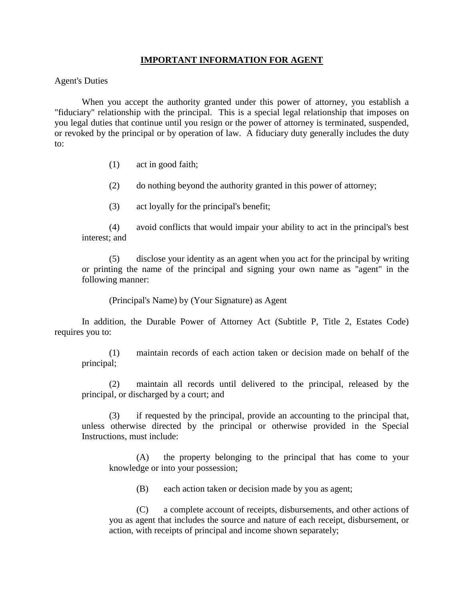## **IMPORTANT INFORMATION FOR AGENT**

### Agent's Duties

When you accept the authority granted under this power of attorney, you establish a "fiduciary" relationship with the principal. This is a special legal relationship that imposes on you legal duties that continue until you resign or the power of attorney is terminated, suspended, or revoked by the principal or by operation of law. A fiduciary duty generally includes the duty to:

(1) act in good faith;

(2) do nothing beyond the authority granted in this power of attorney;

(3) act loyally for the principal's benefit;

(4) avoid conflicts that would impair your ability to act in the principal's best interest; and

(5) disclose your identity as an agent when you act for the principal by writing or printing the name of the principal and signing your own name as "agent" in the following manner:

(Principal's Name) by (Your Signature) as Agent

In addition, the Durable Power of Attorney Act (Subtitle P, Title 2, Estates Code) requires you to:

(1) maintain records of each action taken or decision made on behalf of the principal;

(2) maintain all records until delivered to the principal, released by the principal, or discharged by a court; and

(3) if requested by the principal, provide an accounting to the principal that, unless otherwise directed by the principal or otherwise provided in the Special Instructions, must include:

(A) the property belonging to the principal that has come to your knowledge or into your possession;

(B) each action taken or decision made by you as agent;

(C) a complete account of receipts, disbursements, and other actions of you as agent that includes the source and nature of each receipt, disbursement, or action, with receipts of principal and income shown separately;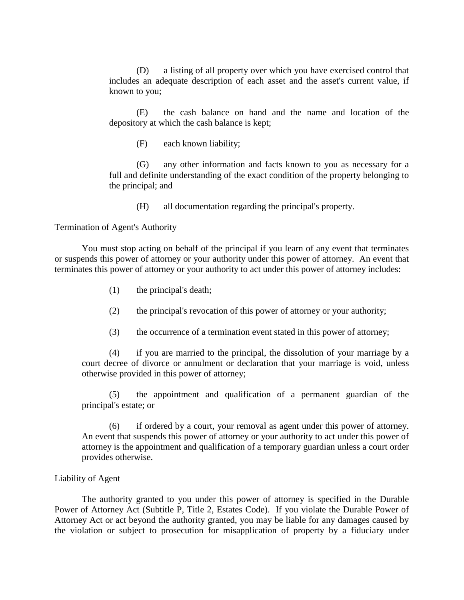(D) a listing of all property over which you have exercised control that includes an adequate description of each asset and the asset's current value, if known to you;

(E) the cash balance on hand and the name and location of the depository at which the cash balance is kept;

(F) each known liability;

(G) any other information and facts known to you as necessary for a full and definite understanding of the exact condition of the property belonging to the principal; and

(H) all documentation regarding the principal's property.

Termination of Agent's Authority

You must stop acting on behalf of the principal if you learn of any event that terminates or suspends this power of attorney or your authority under this power of attorney. An event that terminates this power of attorney or your authority to act under this power of attorney includes:

- (1) the principal's death;
- (2) the principal's revocation of this power of attorney or your authority;
- (3) the occurrence of a termination event stated in this power of attorney;

(4) if you are married to the principal, the dissolution of your marriage by a court decree of divorce or annulment or declaration that your marriage is void, unless otherwise provided in this power of attorney;

(5) the appointment and qualification of a permanent guardian of the principal's estate; or

(6) if ordered by a court, your removal as agent under this power of attorney. An event that suspends this power of attorney or your authority to act under this power of attorney is the appointment and qualification of a temporary guardian unless a court order provides otherwise.

#### Liability of Agent

The authority granted to you under this power of attorney is specified in the Durable Power of Attorney Act (Subtitle P, Title 2, Estates Code). If you violate the Durable Power of Attorney Act or act beyond the authority granted, you may be liable for any damages caused by the violation or subject to prosecution for misapplication of property by a fiduciary under